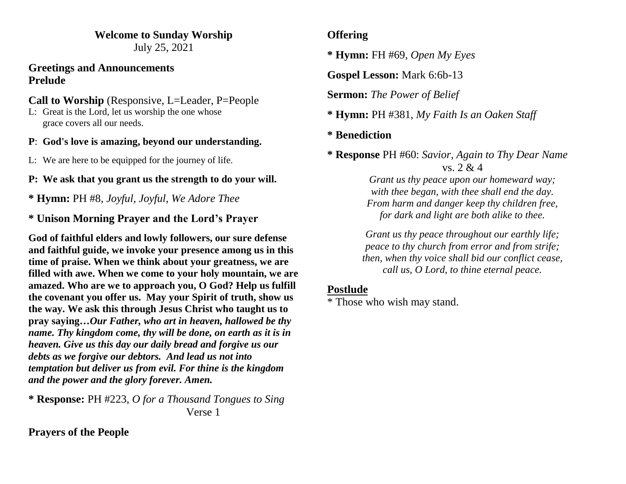#### **Welcome to Sunday Worship** July 25, 2021

#### **Greetings and Announcements Prelude**

# **Call to Worship** (Responsive, L=Leader, P=People

L: Great is the Lord, let us worship the one whose grace covers all our needs.

#### **P**: **God's love is amazing, beyond our understanding.**

- L: We are here to be equipped for the journey of life.
- **P: We ask that you grant us the strength to do your will.**

**\* Hymn:** PH #8, *Joyful, Joyful, We Adore Thee*

# **\* Unison Morning Prayer and the Lord's Prayer**

**God of faithful elders and lowly followers, our sure defense and faithful guide, we invoke your presence among us in this time of praise. When we think about your greatness, we are filled with awe. When we come to your holy mountain, we are amazed. Who are we to approach you, O God? Help us fulfill the covenant you offer us. May your Spirit of truth, show us the way. We ask this through Jesus Christ who taught us to pray saying…***Our Father, who art in heaven, hallowed be thy name. Thy kingdom come, thy will be done, on earth as it is in heaven. Give us this day our daily bread and forgive us our debts as we forgive our debtors. And lead us not into temptation but deliver us from evil. For thine is the kingdom and the power and the glory forever. Amen.*

**\* Response:** PH #223, *O for a Thousand Tongues to Sing*  Verse 1

# **Prayers of the People**

### **Offering**

**\* Hymn:** FH #69, *Open My Eyes*

**Gospel Lesson:** Mark 6:6b-13

**Sermon:** *The Power of Belief*

**\* Hymn:** PH #381, *My Faith Is an Oaken Staff*

### **\* Benediction**

**\* Response** PH #60: *Savior, Again to Thy Dear Name* vs. 2 & 4

> *Grant us thy peace upon our homeward way; with thee began, with thee shall end the day. From harm and danger keep thy children free, for dark and light are both alike to thee.*

*Grant us thy peace throughout our earthly life; peace to thy church from error and from strife; then, when thy voice shall bid our conflict cease, call us, O Lord, to thine eternal peace.*

#### **Postlude**

\* Those who wish may stand.